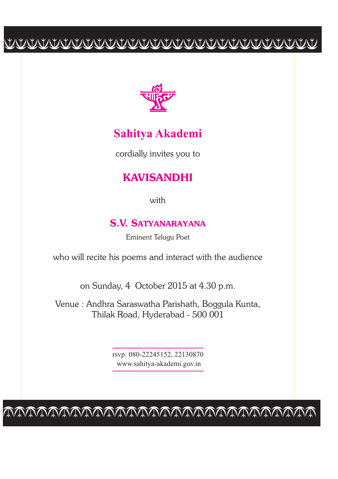# cccccccccccccccccccccccccccc



### **Sahitya Akademi**

cordially invites you to

### **KAVISANDHI**

with

#### **S.V. SATYANARAYANA**

Eminent Telugu Poet

who will recite his poems and interact with the audience

on Sunday, 4 October 2015 at 4.30 p.m.

Venue : Andhra Saraswatha Parishath, Boggula Kunta, Thilak Road, Hyderabad - 500 001

> rsvp: 080-22245152, 22130870 www.sahitya-akademi.gov.in

cccccccccccccccccccccccccccc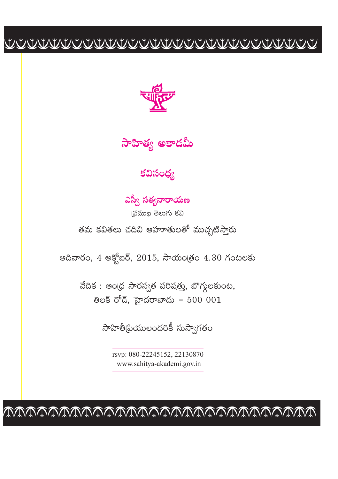

సాహిత్య అకాదమీ

### కవిసంధ్య

ఎస్వీ సత్యనారాయణ

స్టముఖ తెలుగు కవి తమ కవితలు చదివి ఆహూతులతో ముచ్చటిస్తారు

అదివారం, 4 అక్షోబర్, 2015, సాయం(తం 4.30 గంటలకు

వేదిక : ఆంధ్ర సారస్వత పరిషత్తు, బొగ్గులకుంట, 8లక్ రోడ్, హైదరాబాదు - 500 001

సాహితీ(పియులందరికీ సుస్వాగతం

rsyp: 080-22245152, 22130870 www.sahitya-akademi.gov.in

VAAAAAAAAAAAAAAAAAAAAAAAAAA